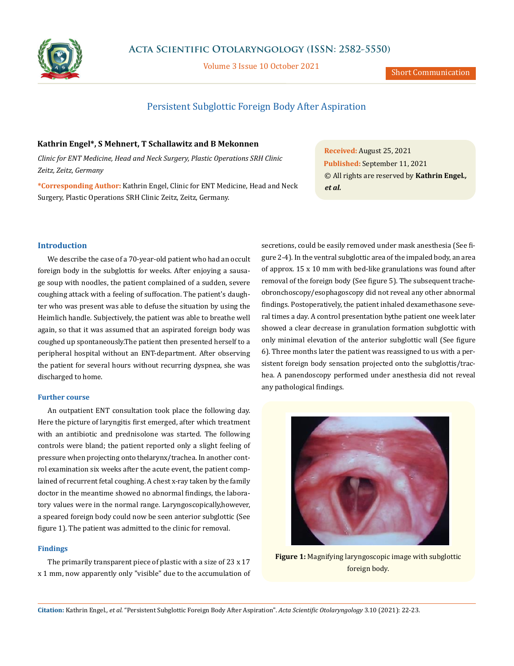

Volume 3 Issue 10 October 2021

## Persistent Subglottic Foreign Body After Aspiration

### **Kathrin Engel\*, S Mehnert, T Schallawitz and B Mekonnen**

*Clinic for ENT Medicine, Head and Neck Surgery, Plastic Operations SRH Clinic Zeitz, Zeitz, Germany*

**\*Corresponding Author:** Kathrin Engel, Clinic for ENT Medicine, Head and Neck Surgery, Plastic Operations SRH Clinic Zeitz, Zeitz, Germany.

**Received:** August 25, 2021 **Published:** September 11, 2021 © All rights are reserved by **Kathrin Engel***., et al.*

#### **Introduction**

We describe the case of a 70-year-old patient who had an occult foreign body in the subglottis for weeks. After enjoying a sausage soup with noodles, the patient complained of a sudden, severe coughing attack with a feeling of suffocation. The patient's daughter who was present was able to defuse the situation by using the Heimlich handle. Subjectively, the patient was able to breathe well again, so that it was assumed that an aspirated foreign body was coughed up spontaneously. The patient then presented herself to a peripheral hospital without an ENT-department. After observing the patient for several hours without recurring dyspnea, she was discharged to home.

#### **Further course**

An outpatient ENT consultation took place the following day. Here the picture of laryngitis first emerged, after which treatment with an antibiotic and prednisolone was started. The following controls were bland; the patient reported only a slight feeling of pressure when projecting onto the larynx/trachea. In another control examination six weeks after the acute event, the patient complained of recurrent fetal coughing. A chest x-ray taken by the family doctor in the meantime showed no abnormal findings, the laboratory values were in the normal range. Laryngoscopically, however, a speared foreign body could now be seen anterior subglottic (See figure 1). The patient was admitted to the clinic for removal.

#### **Findings**

The primarily transparent piece of plastic with a size of 23 x 17 x 1 mm, now apparently only "visible" due to the accumulation of secretions, could be easily removed under mask anesthesia (See figure 2-4). In the ventral subglottic area of the impaled body, an area of approx. 15 x 10 mm with bed-like granulations was found after removal of the foreign body (See figure 5). The subsequent tracheobronchoscopy/esophagoscopy did not reveal any other abnormal findings. Postoperatively, the patient inhaled dexamethasone several times a day. A control presentation by the patient one week later showed a clear decrease in granulation formation subglottic with only minimal elevation of the anterior subglottic wall (See figure 6). Three months later the patient was reassigned to us with a persistent foreign body sensation projected onto the subglottis/trachea. A panendoscopy performed under anesthesia did not reveal any pathological findings.



**Figure 1:** Magnifying laryngoscopic image with subglottic foreign body.